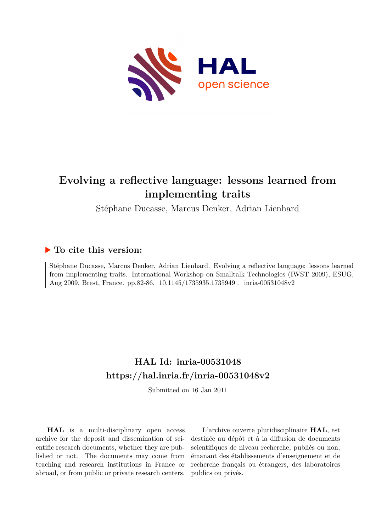

# **Evolving a reflective language: lessons learned from implementing traits**

Stéphane Ducasse, Marcus Denker, Adrian Lienhard

## **To cite this version:**

Stéphane Ducasse, Marcus Denker, Adrian Lienhard. Evolving a reflective language: lessons learned from implementing traits. International Workshop on Smalltalk Technologies (IWST 2009), ESUG, Aug 2009, Brest, France. pp.82-86, 10.1145/1735935.1735949 . inria-00531048v2

## **HAL Id: inria-00531048 <https://hal.inria.fr/inria-00531048v2>**

Submitted on 16 Jan 2011

**HAL** is a multi-disciplinary open access archive for the deposit and dissemination of scientific research documents, whether they are published or not. The documents may come from teaching and research institutions in France or abroad, or from public or private research centers.

L'archive ouverte pluridisciplinaire **HAL**, est destinée au dépôt et à la diffusion de documents scientifiques de niveau recherche, publiés ou non, émanant des établissements d'enseignement et de recherche français ou étrangers, des laboratoires publics ou privés.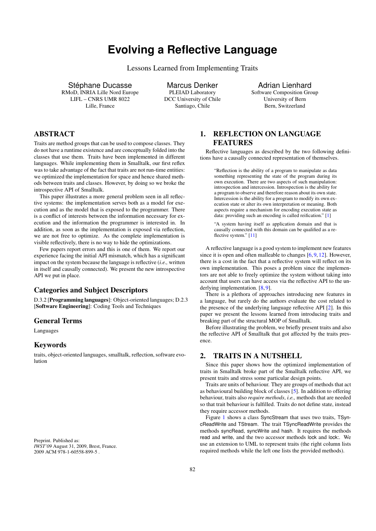## **Evolving a Reflective Language**

Lessons Learned from Implementing Traits

Stéphane Ducasse RMoD, INRIA Lille Nord Europe LIFL – CNRS UMR 8022 Lille, France

Marcus Denker PLEIAD Laboratory DCC University of Chile Santiago, Chile

### Adrian Lienhard Software Composition Group University of Bern Bern, Switzerland

## ABSTRACT

Traits are method groups that can be used to compose classes. They do not have a runtime existence and are conceptually folded into the classes that use them. Traits have been implemented in different languages. While implementing them in Smalltalk, our first reflex was to take advantage of the fact that traits are not run-time entities: we optimized the implementation for space and hence shared methods between traits and classes. However, by doing so we broke the introspective API of Smalltalk.

This paper illustrates a more general problem seen in all reflective systems: the implementation serves both as a model for execution and as the model that is exposed to the programmer. There is a conflict of interests between the information necessary for execution and the information the programmer is interested in. In addition, as soon as the implementation is exposed via reflection, we are not free to optimize. As the complete implementation is visible reflectively, there is no way to hide the optimizations.

Few papers report errors and this is one of them. We report our experience facing the initial API mismatch, which has a significant impact on the system because the language is reflective (*i.e.,* written in itself and causally connected). We present the new introspective API we put in place.

## Categories and Subject Descriptors

D.3.2 [Programming languages]: Object-oriented languages; D.2.3 [Software Engineering]: Coding Tools and Techniques

#### General Terms

Languages

### Keywords

traits, object-oriented languages, smalltalk, reflection, software evolution

Preprint. Published as: *IWST'09* August 31, 2009, Brest, France. 2009 ACM 978-1-60558-899-5 .

## 1. REFLECTION ON LANGUAGE FEATURES

Reflective languages as described by the two following definitions have a causally connected representation of themselves.

"Reflection is the ability of a program to manipulate as data something representing the state of the program during its own execution. There are two aspects of such manipulation: introspection and intercession. Introspection is the ability for a program to observe and therefore reason about its own state. Intercession is the ability for a program to modify its own execution state or alter its own interpretation or meaning. Both aspects require a mechanism for encoding execution state as data: providing such an encoding is called reification." [1]

"A system having itself as application domain and that is causally connected with this domain can be qualified as a reflective system." [11]

A reflective language is a good system to implement new features since it is open and often malleable to changes [6, 9, 12]. However, there is a cost in the fact that a reflective system will reflect on its own implementation. This poses a problem since the implementors are not able to freely optimize the system without taking into account that users can have access via the reflective API to the underlying implementation. [8, 9].

There is a plethora of approaches introducing new features in a language, but rarely do the authors evaluate the cost related to the presence of the underlying language reflective API [2]. In this paper we present the lessons learned from introducing traits and breaking part of the structural MOP of Smalltalk.

Before illustrating the problem, we briefly present traits and also the reflective API of Smalltalk that got affected by the traits presence.

### 2. TRAITS IN A NUTSHELL

Since this paper shows how the optimized implementation of traits in Smalltalk broke part of the Smalltalk reflective API, we present traits and stress some particular design points.

Traits are units of behaviour. They are groups of methods that act as behavioural building block of classes [5]. In addition to offering behaviour, traits also *require methods*, *i.e.,* methods that are needed so that trait behaviour is fulfilled. Traits do not define state, instead they require accessor methods.

Figure 1 shows a class SyncStream that uses two traits, TSyncReadWrite and TStream. The trait TSyncReadWrite provides the methods syncRead, syncWrite and hash. It requires the methods read and write, and the two accessor methods lock and lock:. We use an extension to UML to represent traits (the right column lists required methods while the left one lists the provided methods).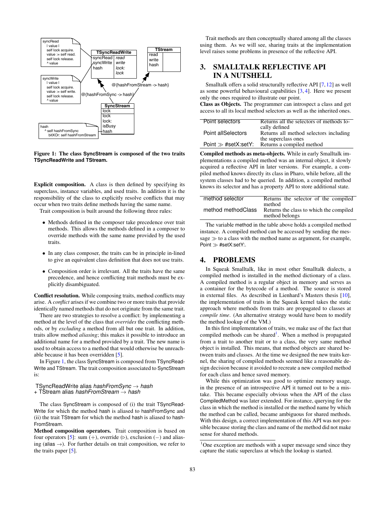

Figure 1: The class **SyncStream** is composed of the two traits **TSyncReadWrite** and **TStream**.

Explicit composition. A class is then defined by specifying its superclass, instance variables, and used traits. In addition it is the responsibility of the class to explicitly resolve conflicts that may occur when two traits define methods having the same name.

Trait composition is built around the following three rules:

- Methods defined in the composer take precedence over trait methods. This allows the methods defined in a composer to override methods with the same name provided by the used traits.
- In any class composer, the traits can be in principle in-lined to give an equivalent class definition that does not use traits.
- Composition order is irrelevant. All the traits have the same precedence, and hence conflicting trait methods must be explicitly disambiguated.

Conflict resolution. While composing traits, method conflicts may arise. A *conflict* arises if we combine two or more traits that provide identically named methods that do not originate from the same trait.

There are two strategies to resolve a conflict: by implementing a method at the level of the class that *overrides* the conflicting methods, or by *excluding* a method from all but one trait. In addition, traits allow method *aliasing*; this makes it possible to introduce an additional name for a method provided by a trait. The new name is used to obtain access to a method that would otherwise be unreachable because it has been overridden [5].

In Figure 1, the class SyncStream is composed from TSyncRead-Write and TStream. The trait composition associated to SyncStream is:

TSyncReadWrite alias *hashFromSync* → *hash*

```
+ TStream alias hashFromStream → hash
```
The class SyncStream is composed of (i) the trait TSyncRead-Write for which the method hash is aliased to hashFromSync and (ii) the trait TStream for which the method hash is aliased to hash-FromStream.

Method composition operators. Trait composition is based on four operators [5]: sum (+), override ( $\triangleright$ ), exclusion (-) and aliasing (alias  $\rightarrow$ ). For further details on trait composition, we refer to the traits paper [5].

Trait methods are then conceptually shared among all the classes using them. As we will see, sharing traits at the implementation level raises some problems in presence of the reflective API.

## 3. SMALLTALK REFLECTIVE API IN A NUTSHELL

Smalltalk offers a solid structurally reflective API [7,12] as well as some powerful behavioural capabilities [3, 4]. Here we present only the ones required to illustrate our point.

Class as Objects. The programmer can introspect a class and get access to all its local method selectors as well as the inherited ones.

| Point selectors         | Returns all the selectors of methods lo- |
|-------------------------|------------------------------------------|
|                         | cally defined                            |
| Point allSelectors      | Returns all method selectors including   |
|                         | the superclass ones                      |
| Point $\gg$ #setX:setY: | Returns a compiled method                |

Compiled methods as meta-objects. While in early Smalltalk implementations a compiled method was an internal object, it slowly acquired a reflective API in later versions. For example, a compiled method knows directly its class in Pharo, while before, all the system classes had to be queried. In addition, a compiled method knows its selector and has a property API to store additional state.

| method selector    | Returns the selector of the compiled    |
|--------------------|-----------------------------------------|
|                    | method                                  |
|                    |                                         |
| method methodClass | Returns the class to which the compiled |
|                    | method belongs                          |

The variable method in the table above holds a compiled method instance. A compiled method can be accessed by sending the message  $\gg$  to a class with the method name as argument, for example, Point  $\gg$  #setX:setY:.

## 4. PROBLEMS

In Squeak Smalltalk, like in most other Smalltalk dialects, a compiled method is installed in the method dictionary of a class. A compiled method is a regular object in memory and serves as a container for the bytecode of a method. The source is stored in external files. As described in Lienhard's Masters thesis [10], the implementation of traits in the Squeak kernel takes the static approach where methods from traits are propagated to classes at *compile time*. (An alternative strategy would have been to modify the method lookup of the VM.)

In this first implementation of traits, we make use of the fact that compiled methods can be shared<sup>1</sup>. When a method is propagated from a trait to another trait or to a class, the very same method object is installed. This means, that method objects are shared between traits and classes. At the time we designed the new traits kernel, the sharing of compiled methods seemed like a reasonable design decision because it avoided to recreate a new compiled method for each class and hence saved memory.

While this optimization was good to optimize memory usage, in the presence of an introspective API it turned out to be a mistake. This became especially obvious when the API of the class CompiledMethod was later extended. For instance, querying for the class in which the method is installed or the method name by which the method can be called, became ambiguous for shared methods. With this design, a correct implementation of this API was not possible because storing the class and name of the method did not make sense for shared methods.

<sup>&</sup>lt;sup>1</sup>One exception are methods with a super message send since they capture the static superclass at which the lookup is started.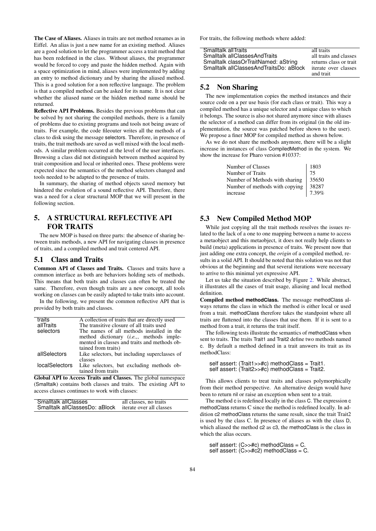The Case of Aliases. Aliases in traits are not method renames as in Eiffel. An alias is just a new name for an existing method. Aliases are a good solution to let the programmer access a trait method that has been redefined in the class. Without aliases, the programmer would be forced to copy and paste the hidden method. Again with a space optimization in mind, aliases were implemented by adding an entry to method dictionary and by sharing the aliased method. This is a good solution for a non reflective language. The problem is that a compiled method can be asked for its name. It is not clear whether the aliased name or the hidden method name should be returned.

Reflective API Problems. Besides the previous problems that can be solved by not sharing the compiled methods, there is a family of problems due to existing programs and tools not being aware of traits. For example, the code fileouter writes all the methods of a class to disk using the message selectors. Therefore, in presence of traits, the trait methods are saved as well mixed with the local methods. A similar problem occurred at the level of the user interfaces. Browsing a class did not distinguish between method acquired by trait composition and local or inherited ones. These problems were expected since the semantics of the method selectors changed and tools needed to be adapted to the presence of traits.

In summary, the sharing of method objects saved memory but hindered the evolution of a sound reflective API. Therefore, there was a need for a clear structural MOP that we will present in the following section.

## 5. A STRUCTURAL REFLECTIVE API FOR TRAITS

The new MOP is based on three parts: the absence of sharing between traits methods, a new API for navigating classes in presence of traits, and a compiled method and trait centered API.

#### 5.1 Class and Traits

Common API of Classes and Traits. Classes and traits have a common interface as both are behaviors holding sets of methods. This means that both traits and classes can often be treated the same. Therefore, even though traits are a new concept, all tools working on classes can be easily adapted to take traits into account.

In the following, we present the common reflective API that is provided by both traits and classes.

| traits                | A collection of traits that are directly used   |
|-----------------------|-------------------------------------------------|
| allTraits             | The transitive closure of all traits used       |
| selectors             | The names of all methods installed in the       |
|                       | method dictionary <i>(i.e.,,</i> methods imple- |
|                       | mented in classes and traits and methods ob-    |
|                       | tained from traits)                             |
| allSelectors          | Like selectors, but including superclasses of   |
|                       | classes                                         |
| <b>localSelectors</b> | Like selectors, but excluding methods ob-       |
|                       | tained from traits                              |

Global API to Access Traits and Classes. The global namespace (Smalltalk) contains both classes and traits. The existing API to access classes continues to work with classes:

| Smalltalk allClasses           | all classes, no traits   |
|--------------------------------|--------------------------|
| Smalltalk allClassesDo: aBlock | iterate over all classes |

For traits, the following methods where added:

| Smalltalk allTraits                     | all traits             |
|-----------------------------------------|------------------------|
| Smalltalk allClassesAndTraits           | all traits and classes |
| Smalltalk classOrTraitNamed: aString    | returns class or trait |
| Smalltalk allClassesAndTraitsDo: aBlock | iterate over classes   |
|                                         | and trait              |

## 5.2 Non Sharing

The new implementation copies the method instances and their source code on a per use basis (for each class or trait). This way a compiled method has a unique selector and a unique class to which it belongs. The source is also not shared anymore since with aliases the selector of a method can differ from its original (in the old implementation, the source was patched before shown to the user). We propose a finer MOP for compiled method as shown below.

As we do not share the methods anymore, there will be a slight increase in instances of class CompiledMethod in the system. We show the increase for Pharo version #10337:

| 1803                                                                                             |
|--------------------------------------------------------------------------------------------------|
| 75                                                                                               |
| Number of Methods with sharing $\begin{array}{ c c c c c }\n\hline\n35650\n\end{array}$          |
|                                                                                                  |
| Number of methods with copying 38287<br>increase $\begin{bmatrix} 38287 \\ 7.39\% \end{bmatrix}$ |
|                                                                                                  |

## 5.3 New Compiled Method MOP

While just copying all the trait methods resolves the issues related to the lack of a one to one mapping between a name to access a metaobject and this metaobject, it does not really help clients to build (meta) applications in presence of traits. We present now that just adding one extra concept, the *origin* of a compiled method, results in a solid API. It should be noted that this solution was not that obvious at the beginning and that several iterations were necessary to arrive to this minimal yet expressive API.

Let us take the situation described by Figure 2. While abstract, it illustrates all the cases of trait usage, aliasing and local method definition.

Compiled method **methodClass**. The message methodClass always returns the class in which the method is either local or used from a trait. methodClass therefore takes the standpoint where all traits are flattened into the classes that use them. If it is sent to a method from a trait, it returns the trait itself.

The following tests illustrate the semantics of methodClass when sent to traits. The traits Trait1 and Trait2 define two methods named c. By default a method defined in a trait answers its trait as its methodClass:

```
self assert: (Trait1>>#c) methodClass = Trait1.
self assert: (Trait2>>#c) methodClass = Trait2.
```
This allows clients to treat traits and classes polymorphically from their method perspective. An alternative design would have been to return nil or raise an exception when sent to a trait.

The method c is redefined locally in the class C. The expression c methodClass returns C since the method is redefined locally. In addition c2 methodClass returns the same result, since the trait Trait2 is used by the class C. In presence of aliases as with the class D, which aliased the method c2 as c3, the methodClass is the class in which the alias occurs.

self assert: (C>>#c) methodClass = C. self assert: (C>>#c2) methodClass = C.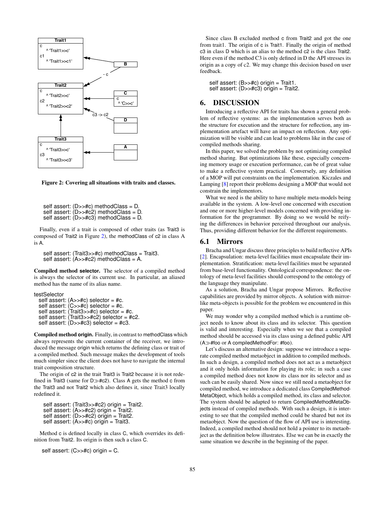

Figure 2: Covering all situations with traits and classes.

```
self assert: (D>>#c) methodClass = D.
self assert: (D>>\#c2) methodClass = D.
self assert: (D \rightarrow \#c3) methodClass = D.
```
Finally, even if a trait is composed of other traits (as Trait3 is composed of Trait2 in Figure 2), the methodClass of c2 in class A is A.

self assert: (Trait3>>#c) methodClass = Trait3. self assert:  $(A \rightarrow \#c2)$  methodClass = A.

Compiled method **selector**. The selector of a compiled method is always the selector of its current use. In particular, an aliased method has the name of its alias name.

testSelector

```
self assert: (A>>#c) selector = #c.
self assert: (C>>#c) selector = #c.
```
self assert: (Trait3>>#c) selector = #c.

self assert: (Trait3>>#c2) selector = #c2.

```
self assert: (D>>\#c3) selector = \#c3.
```
Compiled method **origin**. Finally, in contrast to methodClass which always represents the current container of the receiver, we introduced the message origin which returns the defining class or trait of a compiled method. Such message makes the development of tools much simpler since the client does not have to navigate the internal trait composition structure.

The origin of c2 in the trait Trait3 is Trait2 because it is not redefined in Trait3 (same for  $D\gg\#c2$ ). Class A gets the method c from the Trait3 and not Trait2 which also defines it, since Trait3 locally redefined it.

self assert: (Trait3>>#c2) origin = Trait2. self assert:  $(A \rightarrow \#c2)$  origin = Trait2. self assert:  $(D>>\#c2)$  origin = Trait2. self assert: (A>>#c) origin = Trait3.

Method c is defined locally in class C, which overrides its definition from Trait2. Its origin is then such a class C.

self assert: (C>>#c) origin = C.

Since class B excluded method c from Trait2 and got the one from trait1. The origin of c is Trait1. Finally the origin of method c3 in class D which is an alias to the method c2 is the class Trait2. Here even if the method C3 is only defined in D the API stresses its origin as a copy of c2. We may change this decision based on user feedback.

self assert: (B>>#c) origin = Trait1. self assert:  $(D>>\#c3)$  origin = Trait2.

## 6. DISCUSSION

Introducing a reflective API for traits has shown a general problem of reflective systems: as the implementation serves both as the structure for execution and the structure for reflection, any implementation artefact will have an impact on reflection. Any optimization will be visible and can lead to problems like in the case of compiled methods sharing.

In this paper, we solved the problem by not optimizing compiled method sharing. But optimizations like these, especially concerning memory usage or execution performance, can be of great value to make a reflective system practical. Conversely, any definition of a MOP will put constraints on the implementation. Kiczales and Lamping [8] report their problems designing a MOP that would not constrain the implementors.

What we need is the ability to have multiple meta-models being available in the system. A low-level one concerned with execution and one or more higher-level models concerned with providing information for the programmer. By doing so we would be reifying the differences in behavior perceived throughout our analysis. Thus, providing different behavior for the different requirements.

#### 6.1 Mirrors

Bracha and Ungar discuss three principles to build reflective APIs [2]. Encapsulation: meta-level facilities must encapsulate their implementation. Stratification: meta-level facilities must be separated from base-level functionality. Ontological correspondence: the ontology of meta-level facilities should correspond to the ontology of the language they manipulate.

As a solution, Bracha and Ungar propose Mirrors. Reflective capabilities are provided by mirror objects. A solution with mirrorlike meta-objects is possible for the problem we encountered in this paper.

We may wonder why a compiled method which is a runtime object needs to know about its class and its selector. This question is valid and interesting. Especially when we see that a compiled method should be accessed via its class using a defined public API  $(A \gg #$ foo or A compiledMethodFor: #foo).

Let's discuss an alternative design: suppose we introduce a separate compiled method metaobject in addition to compiled methods. In such a design, a compiled method does not act as a metaobject and it only holds information for playing its role; in such a case a compiled method does not know its class nor its selector and as such can be easily shared. Now since we still need a metaobject for compiled method, we introduce a dedicated class CompiledMethod-MetaObject, which holds a compiled method, its class and selector. The system should be adapted to return CompiledMethodMetaObjects instead of compiled methods. With such a design, it is interesting to see that the compiled method could be shared but not its metaobject. Now the question of the flow of API use is interesting. Indeed, a compiled method should not hold a pointer to its metaobject as the definition below illustrates. Else we can be in exactly the same situation we describe in the beginning of the paper.